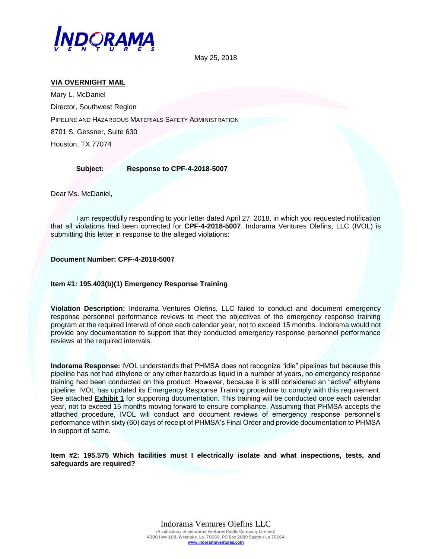

May 25, 2018

## **VIA OVERNIGHT MAIL**

Mary L. McDaniel Director, Southwest Region PIPELINE AND HAZARDOUS MATERIALS SAFETY ADMINISTRATION 8701 S. Gessner, Suite 630 Houston, TX 77074

## **Subject: Response to CPF-4-2018-5007**

Dear Ms. McDaniel,

I am respectfully responding to your letter dated April 27, 2018, in which you requested notification that all violations had been corrected for **CPF-4-2018-5007**. Indorama Ventures Olefins, LLC (IVOL) is submitting this letter in response to the alleged violations:

**Document Number: CPF-4-2018-5007**

## **Item #1: 195.403(b)(1) Emergency Response Training**

**Violation Description:** Indorama Ventures Olefins, LLC failed to conduct and document emergency response personnel performance reviews to meet the objectives of the emergency response training program at the required interval of once each calendar year, not to exceed 15 months. Indorama would not provide any documentation to support that they conducted emergency response personnel performance reviews at the required intervals.

**Indorama Response:** IVOL understands that PHMSA does not recognize "idle" pipelines but because this pipeline has not had ethylene or any other hazardous liquid in a number of years, no emergency response training had been conducted on this product. However, because it is still considered an "active" ethylene pipeline, IVOL has updated its Emergency Response Training procedure to comply with this requirement. See attached **Exhibit 1** for supporting documentation. This training will be conducted once each calendar year, not to exceed 15 months moving forward to ensure compliance. Assuming that PHMSA accepts the attached procedure, IVOL will conduct and document reviews of emergency response personnel's performance within sixty (60) days of receipt of PHMSA's Final Order and provide documentation to PHMSA in support of same.

**Item #2: 195.575 Which facilities must I electrically isolate and what inspections, tests, and safeguards are required?**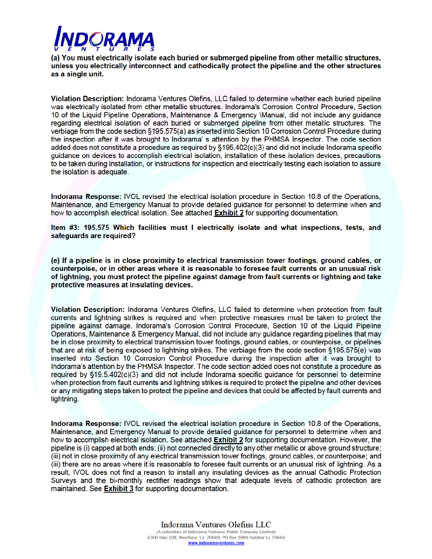

(a) You must electrically isolate each buried or submerged pipeline from other metallic structures, unless you electrically interconnect and cathodically protect the pipeline and the other structures as a single unit.

Violation Description: Indorama Ventures Olefins, LLC failed to determine whether each buried pipeline was electrically isolated from other metallic structures, Indorama's Corrosion Control Procedure, Section 10 of the Liquid Pipeline Operations, Maintenance & Emergency Manual, did not include any quidance regarding electrical isolation of each buried or submerged pipeline from other metallic structures. The verbiage from the code section §195.575(a) as inserted into Section 10 Corrosion Control Procedure during the inspection after it was brought to Indorama' s attention by the PHMSA Inspector. The code section added does not constitute a procedure as required by §195.402(c)(3) and did not include Indorama specific guidance on devices to accomplish electrical isolation, installation of these isolation devices, precautions to be taken during installation, or instructions for inspection and electrically testing each isolation to assure the isolation is adequate.

Indorama Response: IVOL revised the electrical isolation procedure in Section 10.8 of the Operations, Maintenance, and Emergency Manual to provide detailed guidance for personnel to determine when and how to accomplish electrical isolation. See attached **Exhibit 2** for supporting documentation.

Item #3: 195.575 Which facilities must I electrically isolate and what inspections, tests, and safequards are required?

(e) If a pipeline is in close proximity to electrical transmission tower footings, ground cables, or counterpoise, or in other areas where it is reasonable to foresee fault currents or an unusual risk of lightning, you must protect the pipeline against damage from fault currents or lightning and take protective measures at insulating devices.

Violation Description: Indorama Ventures Olefins, LLC failed to determine when protection from fault currents and lightning strikes is required and when protective measures must be taken to protect the pipeline against damage. Indorama's Corrosion Control Procedure, Section 10 of the Liquid Pipeline Operations, Maintenance & Emergency Manual, did not include any guidance regarding pipelines that may be in close proximity to electrical transmission tower footings, ground cables, or counterpoise, or pipelines that are at risk of being exposed to lightning strikes. The verbiage from the code section §195.575(e) was inserted into Section 10 Corrosion Control Procedure during the inspection after it was brought to Indorama's attention by the PHMSA Inspector. The code section added does not constitute a procedure as required by §19.5.402(c)(3) and did not include Indorama specific quidance for personnel to determine when protection from fault currents and lightning strikes is reguired to protect the pipeline and other devices or any mitigating steps taken to protect the pipeline and devices that could be affected by fault currents and lightning.

Indorama Response: IVOL revised the electrical isolation procedure in Section 10.8 of the Operations, Maintenance, and Emergency Manual to provide detailed guidance for personnel to determine when and how to accomplish electrical isolation. See attached Exhibit 2 for supporting documentation. However, the pipeline is (i) capped at both ends: (ii) not connected directly to any other metallic or above ground structure: (iii) not in close proximity of any electrical transmission tower footings, ground cables, or counterpoise; and (iii) there are no areas where it is reasonable to foresee fault currents or an unusual risk of lightning. As a result, IVOL does not find a reason to install any insulating devices as the annual Cathodic Protection Surveys and the bi-monthly rectifier readings show that adequate levels of cathodic protection are maintained. See Exhibit 3 for supporting documentation.